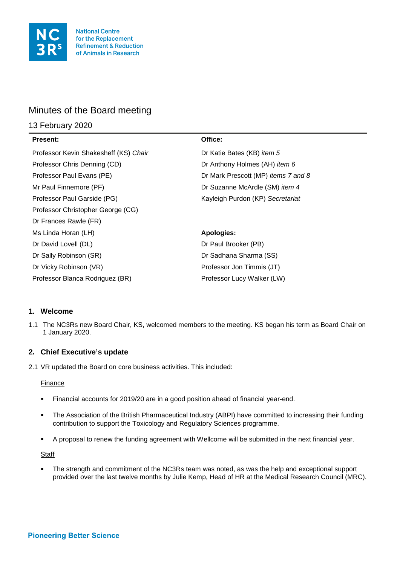

# Minutes of the Board meeting

# 13 February 2020

| <b>Present:</b>                       | Office:                             |
|---------------------------------------|-------------------------------------|
| Professor Kevin Shakesheff (KS) Chair | Dr Katie Bates (KB) item 5          |
| Professor Chris Denning (CD)          | Dr Anthony Holmes (AH) item 6       |
| Professor Paul Evans (PE)             | Dr Mark Prescott (MP) items 7 and 8 |
| Mr Paul Finnemore (PF)                | Dr Suzanne McArdle (SM) item 4      |
| Professor Paul Garside (PG)           | Kayleigh Purdon (KP) Secretariat    |
| Professor Christopher George (CG)     |                                     |
| Dr Frances Rawle (FR)                 |                                     |
| Ms Linda Horan (LH)                   | Apologies:                          |
| Dr David Lovell (DL)                  | Dr Paul Brooker (PB)                |
| Dr Sally Robinson (SR)                | Dr Sadhana Sharma (SS)              |
| Dr Vicky Robinson (VR)                | Professor Jon Timmis (JT)           |
| Professor Blanca Rodriguez (BR)       | Professor Lucy Walker (LW)          |

# **1. Welcome**

1.1 The NC3Rs new Board Chair, KS, welcomed members to the meeting. KS began his term as Board Chair on 1 January 2020.

# **2. Chief Executive's update**

2.1 VR updated the Board on core business activities. This included:

### Finance

- Financial accounts for 2019/20 are in a good position ahead of financial year-end.
- The Association of the British Pharmaceutical Industry (ABPI) have committed to increasing their funding contribution to support the Toxicology and Regulatory Sciences programme.
- A proposal to renew the funding agreement with Wellcome will be submitted in the next financial year.

**Staff** 

 The strength and commitment of the NC3Rs team was noted, as was the help and exceptional support provided over the last twelve months by Julie Kemp, Head of HR at the Medical Research Council (MRC).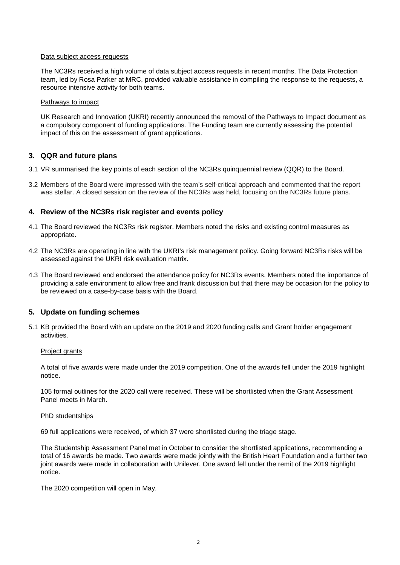#### Data subject access requests

The NC3Rs received a high volume of data subject access requests in recent months. The Data Protection team, led by Rosa Parker at MRC, provided valuable assistance in compiling the response to the requests, a resource intensive activity for both teams.

#### Pathways to impact

UK Research and Innovation (UKRI) recently announced the removal of the Pathways to Impact document as a compulsory component of funding applications. The Funding team are currently assessing the potential impact of this on the assessment of grant applications.

## **3. QQR and future plans**

- 3.1 VR summarised the key points of each section of the NC3Rs quinquennial review (QQR) to the Board.
- 3.2 Members of the Board were impressed with the team's self-critical approach and commented that the report was stellar. A closed session on the review of the NC3Rs was held, focusing on the NC3Rs future plans.

## **4. Review of the NC3Rs risk register and events policy**

- 4.1 The Board reviewed the NC3Rs risk register. Members noted the risks and existing control measures as appropriate.
- 4.2 The NC3Rs are operating in line with the UKRI's risk management policy. Going forward NC3Rs risks will be assessed against the UKRI risk evaluation matrix.
- 4.3 The Board reviewed and endorsed the attendance policy for NC3Rs events. Members noted the importance of providing a safe environment to allow free and frank discussion but that there may be occasion for the policy to be reviewed on a case-by-case basis with the Board.

### **5. Update on funding schemes**

5.1 KB provided the Board with an update on the 2019 and 2020 funding calls and Grant holder engagement activities.

#### Project grants

A total of five awards were made under the 2019 competition. One of the awards fell under the 2019 highlight notice.

105 formal outlines for the 2020 call were received. These will be shortlisted when the Grant Assessment Panel meets in March.

#### PhD studentships

69 full applications were received, of which 37 were shortlisted during the triage stage.

The Studentship Assessment Panel met in October to consider the shortlisted applications, recommending a total of 16 awards be made. Two awards were made jointly with the British Heart Foundation and a further two joint awards were made in collaboration with Unilever. One award fell under the remit of the 2019 highlight notice.

The 2020 competition will open in May.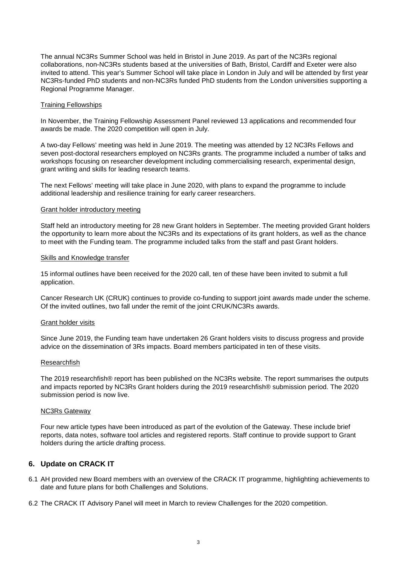The annual NC3Rs Summer School was held in Bristol in June 2019. As part of the NC3Rs regional collaborations, non-NC3Rs students based at the universities of Bath, Bristol, Cardiff and Exeter were also invited to attend. This year's Summer School will take place in London in July and will be attended by first year NC3Rs-funded PhD students and non-NC3Rs funded PhD students from the London universities supporting a Regional Programme Manager.

#### Training Fellowships

In November, the Training Fellowship Assessment Panel reviewed 13 applications and recommended four awards be made. The 2020 competition will open in July.

A two-day Fellows' meeting was held in June 2019. The meeting was attended by 12 NC3Rs Fellows and seven post-doctoral researchers employed on NC3Rs grants. The programme included a number of talks and workshops focusing on researcher development including commercialising research, experimental design, grant writing and skills for leading research teams.

The next Fellows' meeting will take place in June 2020, with plans to expand the programme to include additional leadership and resilience training for early career researchers.

#### Grant holder introductory meeting

Staff held an introductory meeting for 28 new Grant holders in September. The meeting provided Grant holders the opportunity to learn more about the NC3Rs and its expectations of its grant holders, as well as the chance to meet with the Funding team. The programme included talks from the staff and past Grant holders.

#### Skills and Knowledge transfer

15 informal outlines have been received for the 2020 call, ten of these have been invited to submit a full application.

Cancer Research UK (CRUK) continues to provide co-funding to support joint awards made under the scheme. Of the invited outlines, two fall under the remit of the joint CRUK/NC3Rs awards.

#### Grant holder visits

Since June 2019, the Funding team have undertaken 26 Grant holders visits to discuss progress and provide advice on the dissemination of 3Rs impacts. Board members participated in ten of these visits.

#### Researchfish

The 2019 researchfish® report has been published on the NC3Rs website. The report summarises the outputs and impacts reported by NC3Rs Grant holders during the 2019 researchfish® submission period. The 2020 submission period is now live.

#### NC3Rs Gateway

Four new article types have been introduced as part of the evolution of the Gateway. These include brief reports, data notes, software tool articles and registered reports. Staff continue to provide support to Grant holders during the article drafting process.

### **6. Update on CRACK IT**

- 6.1 AH provided new Board members with an overview of the CRACK IT programme, highlighting achievements to date and future plans for both Challenges and Solutions.
- 6.2 The CRACK IT Advisory Panel will meet in March to review Challenges for the 2020 competition.